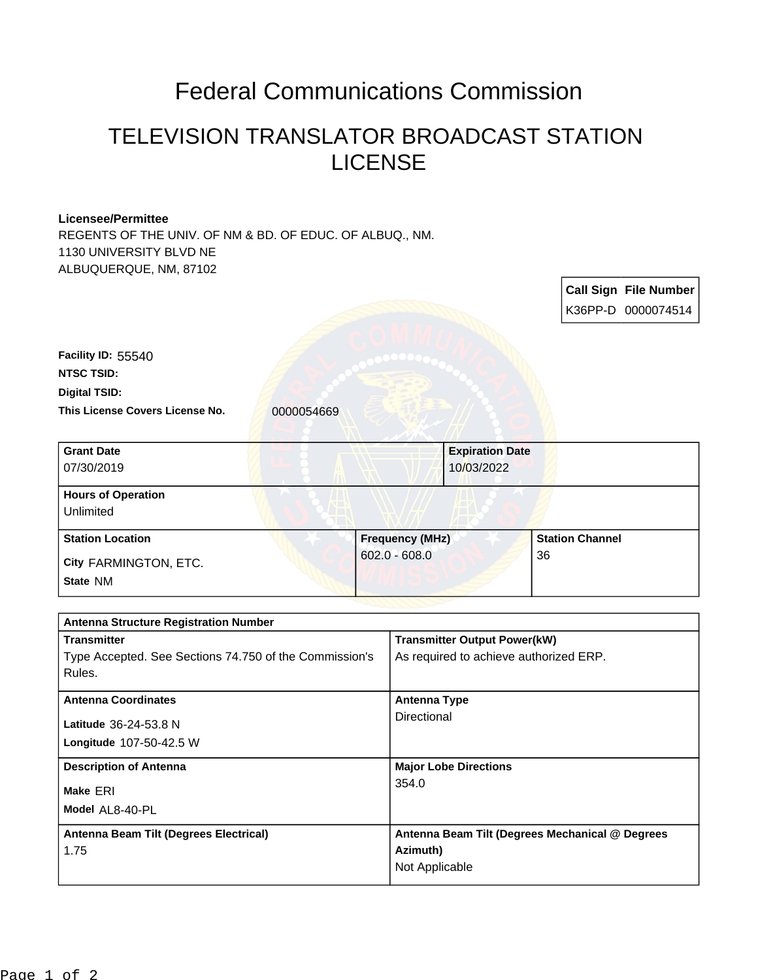## Federal Communications Commission

## TELEVISION TRANSLATOR BROADCAST STATION LICENSE

## **Licensee/Permittee**

REGENTS OF THE UNIV. OF NM & BD. OF EDUC. OF ALBUQ., NM. 1130 UNIVERSITY BLVD NE ALBUQUERQUE, NM, 87102

|                                                        |                        |                                        | <b>Call Sign File Number</b><br>K36PP-D 0000074514 |  |
|--------------------------------------------------------|------------------------|----------------------------------------|----------------------------------------------------|--|
| Facility ID: 55540                                     |                        |                                        |                                                    |  |
| <b>NTSC TSID:</b>                                      |                        |                                        |                                                    |  |
| <b>Digital TSID:</b>                                   |                        |                                        |                                                    |  |
| This License Covers License No.                        | 0000054669             |                                        |                                                    |  |
| <b>Grant Date</b>                                      |                        | <b>Expiration Date</b>                 |                                                    |  |
| 07/30/2019                                             |                        | 10/03/2022                             |                                                    |  |
| <b>Hours of Operation</b><br>Unlimited                 |                        |                                        |                                                    |  |
| <b>Station Location</b>                                | <b>Frequency (MHz)</b> |                                        | <b>Station Channel</b>                             |  |
| City FARMINGTON, ETC.                                  |                        | $602.0 - 608.0$                        | 36                                                 |  |
| State NM                                               |                        |                                        |                                                    |  |
| <b>Antenna Structure Registration Number</b>           |                        |                                        |                                                    |  |
| <b>Transmitter</b>                                     |                        | <b>Transmitter Output Power(kW)</b>    |                                                    |  |
| Type Accepted. See Sections 74.750 of the Commission's |                        | As required to achieve authorized ERP. |                                                    |  |
| Rules.                                                 |                        |                                        |                                                    |  |
| <b>Antenna Coordinates</b>                             |                        | <b>Antenna Type</b>                    |                                                    |  |
| Latitude 36-24-53.8 N                                  |                        | Directional                            |                                                    |  |
| Longitude 107-50-42.5 W                                |                        |                                        |                                                    |  |
| <b>Description of Antenna</b>                          |                        | <b>Major Lobe Directions</b>           |                                                    |  |
| Make ERI                                               |                        | 354.0                                  |                                                    |  |
| Model AL8-40-PL                                        |                        |                                        |                                                    |  |
| Antenna Beam Tilt (Degrees Electrical)                 |                        |                                        | Antenna Beam Tilt (Degrees Mechanical @ Degrees    |  |
| 1.75                                                   |                        | Azimuth)                               |                                                    |  |
|                                                        |                        | Not Applicable                         |                                                    |  |